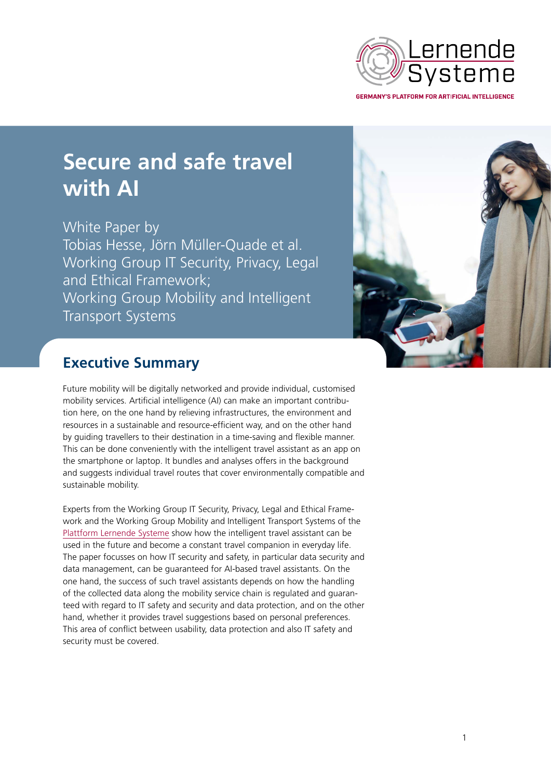

**Secure and safe travel with AI**

White Paper by Tobias Hesse, Jörn Müller-Quade et al. Working Group IT Security, Privacy, Legal and Ethical Framework; Working Group Mobility and Intelligent Transport Systems



# **Executive Summary**

Future mobility will be digitally networked and provide individual, customised mobility services. Artificial intelligence (AI) can make an important contribution here, on the one hand by relieving infrastructures, the environment and resources in a sustainable and resource-efficient way, and on the other hand by guiding travellers to their destination in a time-saving and flexible manner. This can be done conveniently with the intelligent travel assistant as an app on the smartphone or laptop. It bundles and analyses offers in the background and suggests individual travel routes that cover environmentally compatible and sustainable mobility.

Experts from the Working Group IT Security, Privacy, Legal and Ethical Framework and the Working Group Mobility and Intelligent Transport Systems of the [Plattform Lernende Systeme](https://www.plattform-lernende-systeme.de/home-en.html) show how the intelligent travel assistant can be used in the future and become a constant travel companion in everyday life. The paper focusses on how IT security and safety, in particular data security and data management, can be guaranteed for AI-based travel assistants. On the one hand, the success of such travel assistants depends on how the handling of the collected data along the mobility service chain is regulated and guaranteed with regard to IT safety and security and data protection, and on the other hand, whether it provides travel suggestions based on personal preferences. This area of conflict between usability, data protection and also IT safety and security must be covered.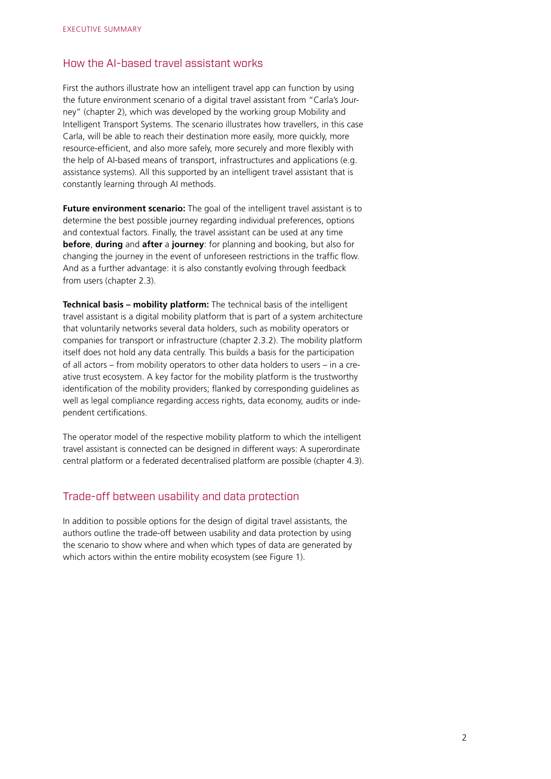## How the AI-based travel assistant works

First the authors illustrate how an intelligent travel app can function by using the future environment scenario of a digital travel assistant from "Carla's Journey" (chapter 2), which was developed by the working group Mobility and Intelligent Transport Systems. The scenario illustrates how travellers, in this case Carla, will be able to reach their destination more easily, more quickly, more resource-efficient, and also more safely, more securely and more flexibly with the help of AI-based means of transport, infrastructures and applications (e.g. assistance systems). All this supported by an intelligent travel assistant that is constantly learning through AI methods.

**Future environment scenario:** The goal of the intelligent travel assistant is to determine the best possible journey regarding individual preferences, options and contextual factors. Finally, the travel assistant can be used at any time **before**, **during** and **after** a **journey**: for planning and booking, but also for changing the journey in the event of unforeseen restrictions in the traffic flow. And as a further advantage: it is also constantly evolving through feedback from users (chapter 2.3).

**Technical basis – mobility platform:** The technical basis of the intelligent travel assistant is a digital mobility platform that is part of a system architecture that voluntarily networks several data holders, such as mobility operators or companies for transport or infrastructure (chapter 2.3.2). The mobility platform itself does not hold any data centrally. This builds a basis for the participation of all actors – from mobility operators to other data holders to users – in a creative trust ecosystem. A key factor for the mobility platform is the trustworthy identification of the mobility providers; flanked by corresponding guidelines as well as legal compliance regarding access rights, data economy, audits or independent certifications.

The operator model of the respective mobility platform to which the intelligent travel assistant is connected can be designed in different ways: A superordinate central platform or a federated decentralised platform are possible (chapter 4.3).

### Trade-off between usability and data protection

In addition to possible options for the design of digital travel assistants, the authors outline the trade-off between usability and data protection by using the scenario to show where and when which types of data are generated by which actors within the entire mobility ecosystem (see Figure 1).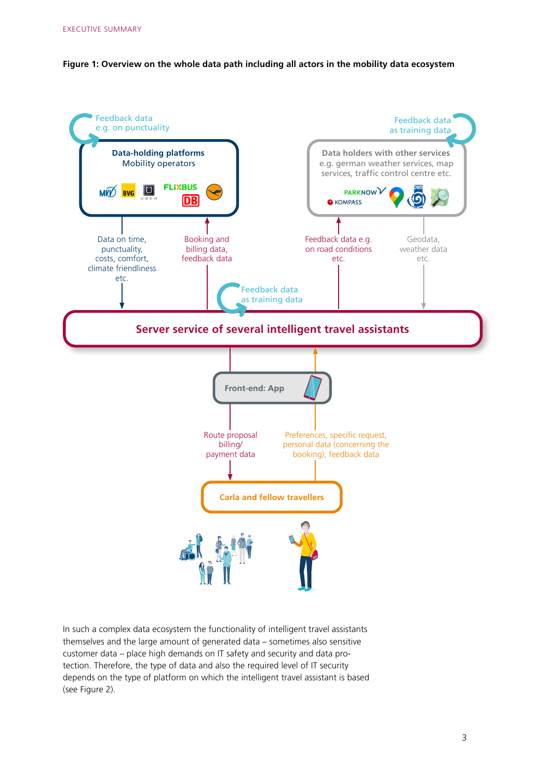**Figure 1: Overview on the whole data path including all actors in the mobility data ecosystem**



In such a complex data ecosystem the functionality of intelligent travel assistants themselves and the large amount of generated data – sometimes also sensitive customer data – place high demands on IT safety and security and data protection. Therefore, the type of data and also the required level of IT security depends on the type of platform on which the intelligent travel assistant is based (see Figure 2).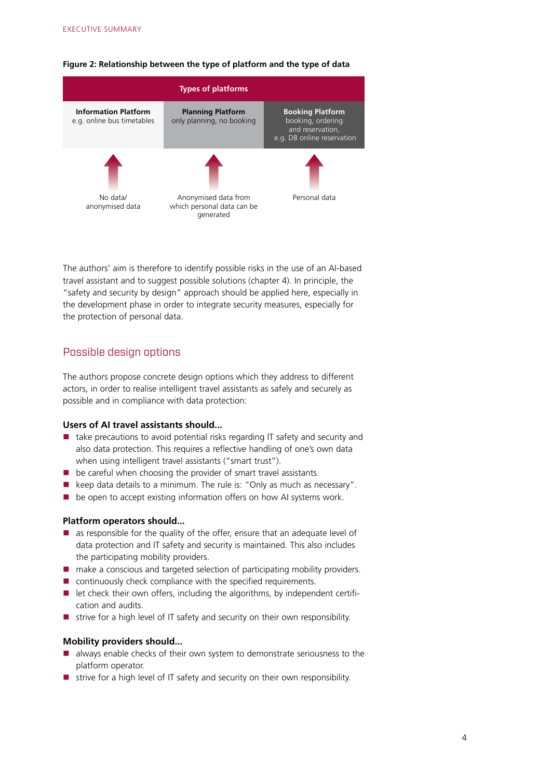

#### **Figure 2: Relationship between the type of platform and the type of data**

The authors' aim is therefore to identify possible risks in the use of an AI-based travel assistant and to suggest possible solutions (chapter 4). In principle, the "safety and security by design" approach should be applied here, especially in the development phase in order to integrate security measures, especially for the protection of personal data.

## Possible design options

The authors propose concrete design options which they address to different actors, in order to realise intelligent travel assistants as safely and securely as possible and in compliance with data protection:

#### **Users of AI travel assistants should...**

- $\blacksquare$  take precautions to avoid potential risks regarding IT safety and security and also data protection. This requires a reflective handling of one's own data when using intelligent travel assistants ("smart trust").
- $\blacksquare$  be careful when choosing the provider of smart travel assistants.
- keep data details to a minimum. The rule is: "Only as much as necessary".
- **b** be open to accept existing information offers on how AI systems work.

#### **Platform operators should...**

- **E** as responsible for the quality of the offer, ensure that an adequate level of data protection and IT safety and security is maintained. This also includes the participating mobility providers.
- make a conscious and targeted selection of participating mobility providers.
- $\blacksquare$  continuously check compliance with the specified requirements.
- $\blacksquare$  let check their own offers, including the algorithms, by independent certification and audits.
- $\blacksquare$  strive for a high level of IT safety and security on their own responsibility.

#### **Mobility providers should...**

- **E** always enable checks of their own system to demonstrate seriousness to the platform operator.
- $\blacksquare$  strive for a high level of IT safety and security on their own responsibility.